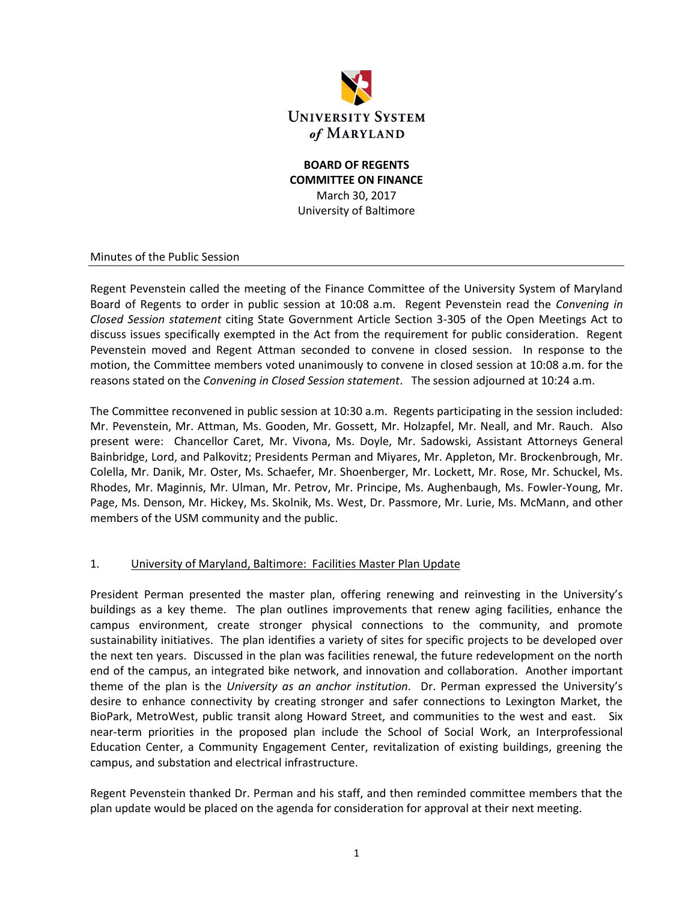

### **BOARD OF REGENTS COMMITTEE ON FINANCE** March 30, 2017 University of Baltimore

#### Minutes of the Public Session

Regent Pevenstein called the meeting of the Finance Committee of the University System of Maryland Board of Regents to order in public session at 10:08 a.m. Regent Pevenstein read the *Convening in Closed Session statement* citing State Government Article Section 3-305 of the Open Meetings Act to discuss issues specifically exempted in the Act from the requirement for public consideration. Regent Pevenstein moved and Regent Attman seconded to convene in closed session. In response to the motion, the Committee members voted unanimously to convene in closed session at 10:08 a.m. for the reasons stated on the *Convening in Closed Session statement*. The session adjourned at 10:24 a.m.

The Committee reconvened in public session at 10:30 a.m. Regents participating in the session included: Mr. Pevenstein, Mr. Attman, Ms. Gooden, Mr. Gossett, Mr. Holzapfel, Mr. Neall, and Mr. Rauch. Also present were: Chancellor Caret, Mr. Vivona, Ms. Doyle, Mr. Sadowski, Assistant Attorneys General Bainbridge, Lord, and Palkovitz; Presidents Perman and Miyares, Mr. Appleton, Mr. Brockenbrough, Mr. Colella, Mr. Danik, Mr. Oster, Ms. Schaefer, Mr. Shoenberger, Mr. Lockett, Mr. Rose, Mr. Schuckel, Ms. Rhodes, Mr. Maginnis, Mr. Ulman, Mr. Petrov, Mr. Principe, Ms. Aughenbaugh, Ms. Fowler-Young, Mr. Page, Ms. Denson, Mr. Hickey, Ms. Skolnik, Ms. West, Dr. Passmore, Mr. Lurie, Ms. McMann, and other members of the USM community and the public.

#### 1. University of Maryland, Baltimore: Facilities Master Plan Update

President Perman presented the master plan, offering renewing and reinvesting in the University's buildings as a key theme. The plan outlines improvements that renew aging facilities, enhance the campus environment, create stronger physical connections to the community, and promote sustainability initiatives. The plan identifies a variety of sites for specific projects to be developed over the next ten years. Discussed in the plan was facilities renewal, the future redevelopment on the north end of the campus, an integrated bike network, and innovation and collaboration. Another important theme of the plan is the *University as an anchor institution*. Dr. Perman expressed the University's desire to enhance connectivity by creating stronger and safer connections to Lexington Market, the BioPark, MetroWest, public transit along Howard Street, and communities to the west and east. Six near-term priorities in the proposed plan include the School of Social Work, an Interprofessional Education Center, a Community Engagement Center, revitalization of existing buildings, greening the campus, and substation and electrical infrastructure.

Regent Pevenstein thanked Dr. Perman and his staff, and then reminded committee members that the plan update would be placed on the agenda for consideration for approval at their next meeting.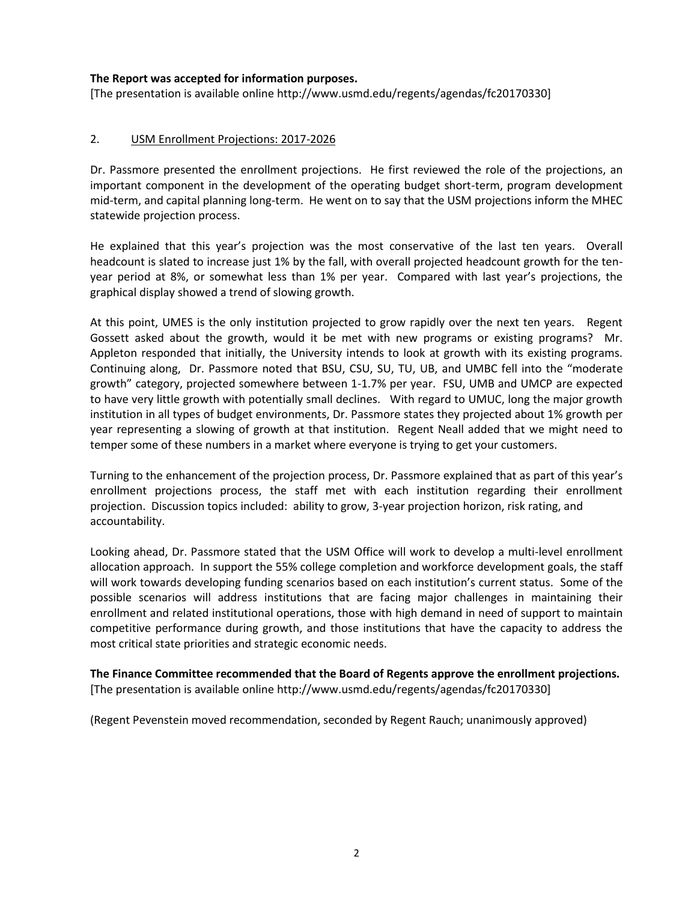#### **The Report was accepted for information purposes.**

[The presentation is available online http://www.usmd.edu/regents/agendas/fc20170330]

### 2. USM Enrollment Projections: 2017-2026

Dr. Passmore presented the enrollment projections. He first reviewed the role of the projections, an important component in the development of the operating budget short-term, program development mid-term, and capital planning long-term. He went on to say that the USM projections inform the MHEC statewide projection process.

He explained that this year's projection was the most conservative of the last ten years. Overall headcount is slated to increase just 1% by the fall, with overall projected headcount growth for the tenyear period at 8%, or somewhat less than 1% per year. Compared with last year's projections, the graphical display showed a trend of slowing growth.

At this point, UMES is the only institution projected to grow rapidly over the next ten years. Regent Gossett asked about the growth, would it be met with new programs or existing programs? Mr. Appleton responded that initially, the University intends to look at growth with its existing programs. Continuing along, Dr. Passmore noted that BSU, CSU, SU, TU, UB, and UMBC fell into the "moderate growth" category, projected somewhere between 1-1.7% per year. FSU, UMB and UMCP are expected to have very little growth with potentially small declines. With regard to UMUC, long the major growth institution in all types of budget environments, Dr. Passmore states they projected about 1% growth per year representing a slowing of growth at that institution. Regent Neall added that we might need to temper some of these numbers in a market where everyone is trying to get your customers.

Turning to the enhancement of the projection process, Dr. Passmore explained that as part of this year's enrollment projections process, the staff met with each institution regarding their enrollment projection. Discussion topics included: ability to grow, 3-year projection horizon, risk rating, and accountability.

Looking ahead, Dr. Passmore stated that the USM Office will work to develop a multi-level enrollment allocation approach. In support the 55% college completion and workforce development goals, the staff will work towards developing funding scenarios based on each institution's current status. Some of the possible scenarios will address institutions that are facing major challenges in maintaining their enrollment and related institutional operations, those with high demand in need of support to maintain competitive performance during growth, and those institutions that have the capacity to address the most critical state priorities and strategic economic needs.

**The Finance Committee recommended that the Board of Regents approve the enrollment projections.**  [The presentation is available online http://www.usmd.edu/regents/agendas/fc20170330]

(Regent Pevenstein moved recommendation, seconded by Regent Rauch; unanimously approved)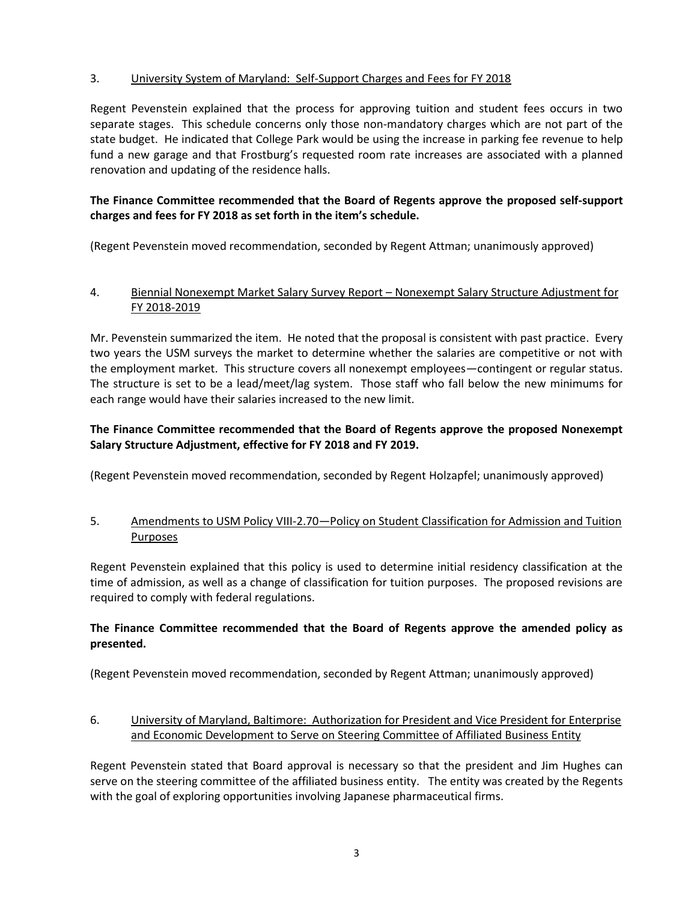# 3. University System of Maryland: Self-Support Charges and Fees for FY 2018

Regent Pevenstein explained that the process for approving tuition and student fees occurs in two separate stages. This schedule concerns only those non-mandatory charges which are not part of the state budget. He indicated that College Park would be using the increase in parking fee revenue to help fund a new garage and that Frostburg's requested room rate increases are associated with a planned renovation and updating of the residence halls.

# **The Finance Committee recommended that the Board of Regents approve the proposed self-support charges and fees for FY 2018 as set forth in the item's schedule.**

(Regent Pevenstein moved recommendation, seconded by Regent Attman; unanimously approved)

### 4. Biennial Nonexempt Market Salary Survey Report – Nonexempt Salary Structure Adjustment for FY 2018-2019

Mr. Pevenstein summarized the item. He noted that the proposal is consistent with past practice. Every two years the USM surveys the market to determine whether the salaries are competitive or not with the employment market. This structure covers all nonexempt employees—contingent or regular status. The structure is set to be a lead/meet/lag system. Those staff who fall below the new minimums for each range would have their salaries increased to the new limit.

# **The Finance Committee recommended that the Board of Regents approve the proposed Nonexempt Salary Structure Adjustment, effective for FY 2018 and FY 2019.**

(Regent Pevenstein moved recommendation, seconded by Regent Holzapfel; unanimously approved)

# 5. Amendments to USM Policy VIII-2.70—Policy on Student Classification for Admission and Tuition Purposes

Regent Pevenstein explained that this policy is used to determine initial residency classification at the time of admission, as well as a change of classification for tuition purposes. The proposed revisions are required to comply with federal regulations.

# **The Finance Committee recommended that the Board of Regents approve the amended policy as presented.**

(Regent Pevenstein moved recommendation, seconded by Regent Attman; unanimously approved)

# 6. University of Maryland, Baltimore: Authorization for President and Vice President for Enterprise and Economic Development to Serve on Steering Committee of Affiliated Business Entity

Regent Pevenstein stated that Board approval is necessary so that the president and Jim Hughes can serve on the steering committee of the affiliated business entity. The entity was created by the Regents with the goal of exploring opportunities involving Japanese pharmaceutical firms.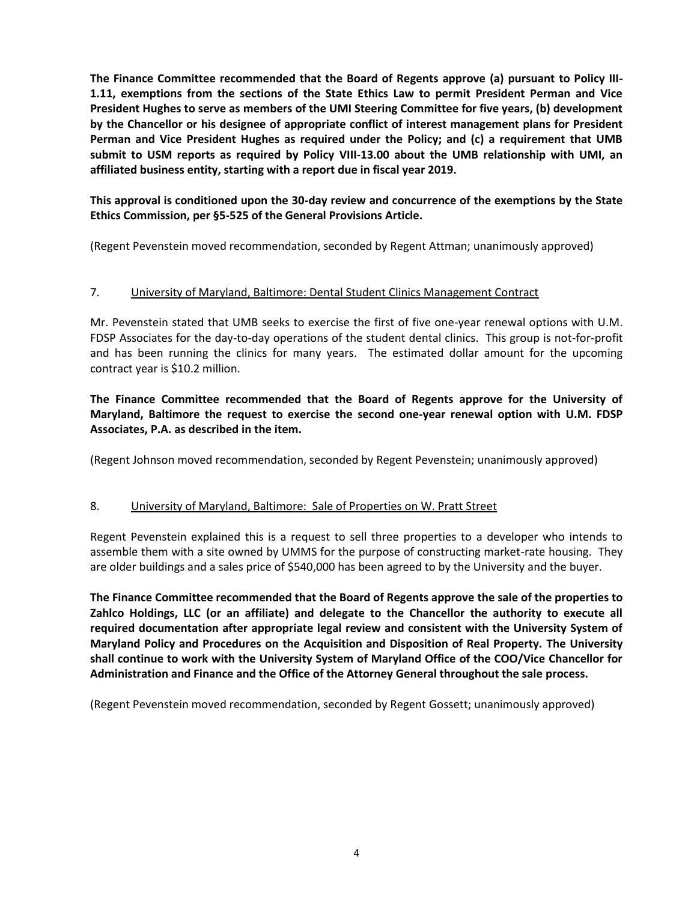**The Finance Committee recommended that the Board of Regents approve (a) pursuant to Policy III-1.11, exemptions from the sections of the State Ethics Law to permit President Perman and Vice President Hughes to serve as members of the UMI Steering Committee for five years, (b) development by the Chancellor or his designee of appropriate conflict of interest management plans for President Perman and Vice President Hughes as required under the Policy; and (c) a requirement that UMB submit to USM reports as required by Policy VIII-13.00 about the UMB relationship with UMI, an affiliated business entity, starting with a report due in fiscal year 2019.**

**This approval is conditioned upon the 30-day review and concurrence of the exemptions by the State Ethics Commission, per §5-525 of the General Provisions Article.**

(Regent Pevenstein moved recommendation, seconded by Regent Attman; unanimously approved)

### 7. University of Maryland, Baltimore: Dental Student Clinics Management Contract

Mr. Pevenstein stated that UMB seeks to exercise the first of five one-year renewal options with U.M. FDSP Associates for the day-to-day operations of the student dental clinics. This group is not-for-profit and has been running the clinics for many years. The estimated dollar amount for the upcoming contract year is \$10.2 million.

**The Finance Committee recommended that the Board of Regents approve for the University of Maryland, Baltimore the request to exercise the second one-year renewal option with U.M. FDSP Associates, P.A. as described in the item.**

(Regent Johnson moved recommendation, seconded by Regent Pevenstein; unanimously approved)

#### 8. University of Maryland, Baltimore: Sale of Properties on W. Pratt Street

Regent Pevenstein explained this is a request to sell three properties to a developer who intends to assemble them with a site owned by UMMS for the purpose of constructing market-rate housing. They are older buildings and a sales price of \$540,000 has been agreed to by the University and the buyer.

**The Finance Committee recommended that the Board of Regents approve the sale of the properties to Zahlco Holdings, LLC (or an affiliate) and delegate to the Chancellor the authority to execute all required documentation after appropriate legal review and consistent with the University System of Maryland Policy and Procedures on the Acquisition and Disposition of Real Property. The University shall continue to work with the University System of Maryland Office of the COO/Vice Chancellor for Administration and Finance and the Office of the Attorney General throughout the sale process.** 

(Regent Pevenstein moved recommendation, seconded by Regent Gossett; unanimously approved)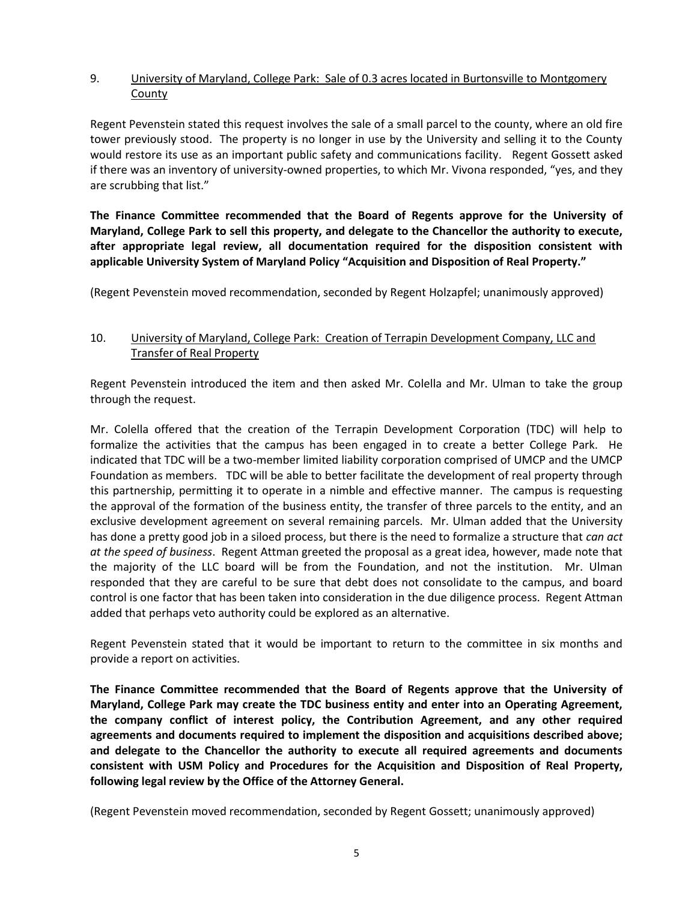### 9. University of Maryland, College Park: Sale of 0.3 acres located in Burtonsville to Montgomery County

Regent Pevenstein stated this request involves the sale of a small parcel to the county, where an old fire tower previously stood. The property is no longer in use by the University and selling it to the County would restore its use as an important public safety and communications facility. Regent Gossett asked if there was an inventory of university-owned properties, to which Mr. Vivona responded, "yes, and they are scrubbing that list."

**The Finance Committee recommended that the Board of Regents approve for the University of Maryland, College Park to sell this property, and delegate to the Chancellor the authority to execute, after appropriate legal review, all documentation required for the disposition consistent with applicable University System of Maryland Policy "Acquisition and Disposition of Real Property."** 

(Regent Pevenstein moved recommendation, seconded by Regent Holzapfel; unanimously approved)

### 10. University of Maryland, College Park: Creation of Terrapin Development Company, LLC and Transfer of Real Property

Regent Pevenstein introduced the item and then asked Mr. Colella and Mr. Ulman to take the group through the request.

Mr. Colella offered that the creation of the Terrapin Development Corporation (TDC) will help to formalize the activities that the campus has been engaged in to create a better College Park. He indicated that TDC will be a two-member limited liability corporation comprised of UMCP and the UMCP Foundation as members. TDC will be able to better facilitate the development of real property through this partnership, permitting it to operate in a nimble and effective manner. The campus is requesting the approval of the formation of the business entity, the transfer of three parcels to the entity, and an exclusive development agreement on several remaining parcels. Mr. Ulman added that the University has done a pretty good job in a siloed process, but there is the need to formalize a structure that *can act at the speed of business*. Regent Attman greeted the proposal as a great idea, however, made note that the majority of the LLC board will be from the Foundation, and not the institution. Mr. Ulman responded that they are careful to be sure that debt does not consolidate to the campus, and board control is one factor that has been taken into consideration in the due diligence process. Regent Attman added that perhaps veto authority could be explored as an alternative.

Regent Pevenstein stated that it would be important to return to the committee in six months and provide a report on activities.

**The Finance Committee recommended that the Board of Regents approve that the University of Maryland, College Park may create the TDC business entity and enter into an Operating Agreement, the company conflict of interest policy, the Contribution Agreement, and any other required agreements and documents required to implement the disposition and acquisitions described above; and delegate to the Chancellor the authority to execute all required agreements and documents consistent with USM Policy and Procedures for the Acquisition and Disposition of Real Property, following legal review by the Office of the Attorney General.** 

(Regent Pevenstein moved recommendation, seconded by Regent Gossett; unanimously approved)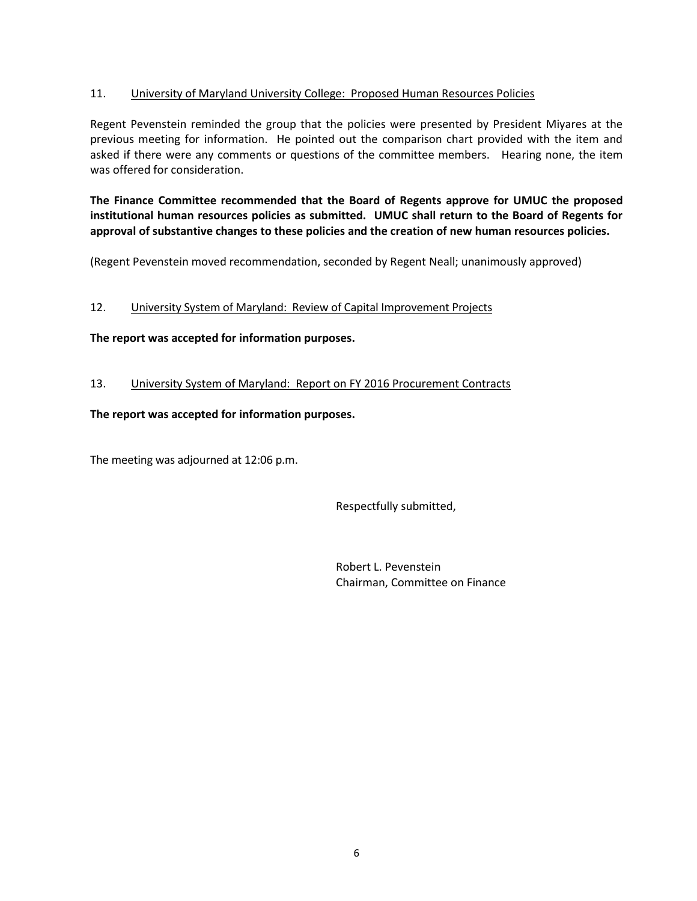### 11. University of Maryland University College: Proposed Human Resources Policies

Regent Pevenstein reminded the group that the policies were presented by President Miyares at the previous meeting for information. He pointed out the comparison chart provided with the item and asked if there were any comments or questions of the committee members. Hearing none, the item was offered for consideration.

**The Finance Committee recommended that the Board of Regents approve for UMUC the proposed institutional human resources policies as submitted. UMUC shall return to the Board of Regents for approval of substantive changes to these policies and the creation of new human resources policies.** 

(Regent Pevenstein moved recommendation, seconded by Regent Neall; unanimously approved)

# 12. University System of Maryland: Review of Capital Improvement Projects

### **The report was accepted for information purposes.**

13. University System of Maryland: Report on FY 2016 Procurement Contracts

### **The report was accepted for information purposes.**

The meeting was adjourned at 12:06 p.m.

Respectfully submitted,

Robert L. Pevenstein Chairman, Committee on Finance